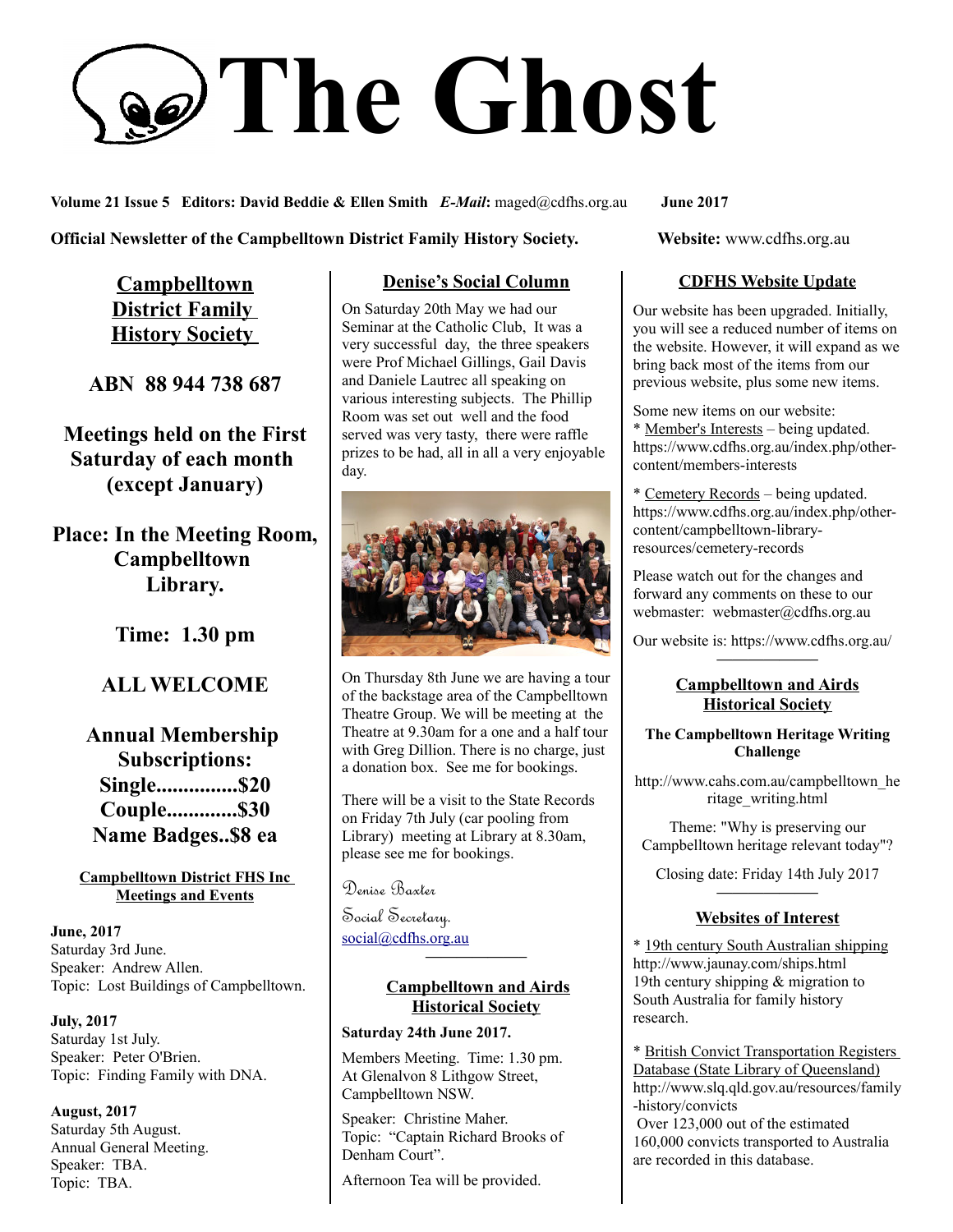# **The Ghost**

**Volume 21 Issue 5 Editors: David Beddie & Ellen Smith** *E-Mail***:** maged@cdfhs.org.au **June 2017**

**Official Newsletter of the Campbelltown District Family History Society. Website: www.cdfhs.org.au** 

**Campbelltown District Family History Society** 

**ABN 88 944 738 687**

**Meetings held on the First Saturday of each month (except January)**

**Place: In the Meeting Room, Campbelltown Library.**

**Time: 1.30 pm**

# **ALL WELCOME**

**Annual Membership Subscriptions: Single...............\$20 Couple.............\$30 Name Badges..\$8 ea**

**Campbelltown District FHS Inc Meetings and Events**

**June, 2017** Saturday 3rd June. Speaker: Andrew Allen. Topic: Lost Buildings of Campbelltown.

**July, 2017** Saturday 1st July. Speaker: Peter O'Brien. Topic: Finding Family with DNA.

**August, 2017** Saturday 5th August. Annual General Meeting. Speaker: TBA. Topic: TBA.

## **Denise's Social Column**

On Saturday 20th May we had our Seminar at the Catholic Club, It was a very successful day, the three speakers were Prof Michael Gillings, Gail Davis and Daniele Lautrec all speaking on various interesting subjects. The Phillip Room was set out well and the food served was very tasty, there were raffle prizes to be had, all in all a very enjoyable day.



On Thursday 8th June we are having a tour of the backstage area of the Campbelltown Theatre Group. We will be meeting at the Theatre at 9.30am for a one and a half tour with Greg Dillion. There is no charge, just a donation box. See me for bookings.

There will be a visit to the State Records on Friday 7th July (car pooling from Library) meeting at Library at 8.30am, please see me for bookings.

Denise Baxter

Social Secretary. [social@cdfhs.org.au](mailto:social@cdfhs.org.au)

# **Campbelltown and Airds Historical Society**

**——————–**

#### **Saturday 24th June 2017.**

Members Meeting. Time: 1.30 pm. At Glenalvon 8 Lithgow Street, Campbelltown NSW.

Speaker: Christine Maher. Topic: "Captain Richard Brooks of Denham Court".

Afternoon Tea will be provided.

## **CDFHS Website Update**

Our website has been upgraded. Initially, you will see a reduced number of items on the website. However, it will expand as we bring back most of the items from our previous website, plus some new items.

Some new items on our website: \* Member's Interests – being updated. https://www.cdfhs.org.au/index.php/othercontent/members-interests

\* Cemetery Records – being updated. https://www.cdfhs.org.au/index.php/othercontent/campbelltown-libraryresources/cemetery-records

Please watch out for the changes and forward any comments on these to our webmaster: webmaster@cdfhs.org.au

Our website is: https://www.cdfhs.org.au/ **——————–**

## **Campbelltown and Airds Historical Society**

**The Campbelltown Heritage Writing Challenge**

http://www.cahs.com.au/campbelltown\_he ritage\_writing.html

Theme: "Why is preserving our Campbelltown heritage relevant today"?

Closing date: Friday 14th July 2017 **——————–**

#### **Websites of Interest**

\* 19th century South Australian shipping http://www.jaunay.com/ships.html 19th century shipping & migration to South Australia for family history research.

\* British Convict Transportation Registers Database (State Library of Queensland) http://www.slq.qld.gov.au/resources/family -history/convicts

 Over 123,000 out of the estimated 160,000 convicts transported to Australia are recorded in this database.